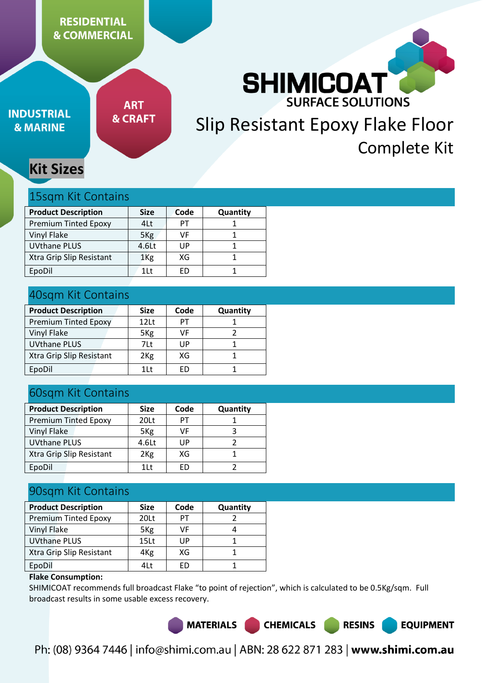# **RESIDENTIAL & COMMERCIAL**



# **INDUSTRIAL & MARINE**

**ART & CRAFT** 

# Slip Resistant Epoxy Flake Floor Complete Kit

# **Kit Sizes**

### 15sqm Kit Contains

| <b>Product Description</b>  | <b>Size</b>     | Code | Quantity |
|-----------------------------|-----------------|------|----------|
| <b>Premium Tinted Epoxy</b> | 4Lt             | PT   |          |
| Vinyl Flake                 | 5 <sub>Kg</sub> | VF   |          |
| <b>UVthane PLUS</b>         | 4.6Lt           | UP   |          |
| Xtra Grip Slip Resistant    | 1 <sub>Kg</sub> | XG   |          |
| EpoDil                      | 1 L t           | FD   |          |

# 40sqm Kit Contains

| <b>Product Description</b>  | <b>Size</b>      | Code | Quantity |
|-----------------------------|------------------|------|----------|
| <b>Premium Tinted Epoxy</b> | 12 <sub>Lt</sub> | PT   |          |
| Vinyl Flake                 | 5 <sub>Kg</sub>  | VF   |          |
| <b>UVthane PLUS</b>         | 7Lt              | UP   |          |
| Xtra Grip Slip Resistant    | 2 <sub>Kg</sub>  | XG   |          |
| EpoDil                      | 1 <sup>1</sup>   | FD   |          |

# 60sqm Kit Contains

| <b>Product Description</b>  | <b>Size</b>     | Code | <b>Quantity</b> |
|-----------------------------|-----------------|------|-----------------|
| <b>Premium Tinted Epoxy</b> | 20Lt            | PТ   |                 |
| Vinyl Flake                 | 5 <sub>Kg</sub> | VF   |                 |
| <b>UVthane PLUS</b>         | 4.6Lt           | UP   |                 |
| Xtra Grip Slip Resistant    | 2 <sub>Kg</sub> | XG   |                 |
| EpoDil                      | 1Lt             | FD   |                 |

# 90sqm Kit Contains

| <b>Product Description</b>  | <b>Size</b>      | Code      | Quantity |  |  |
|-----------------------------|------------------|-----------|----------|--|--|
| <b>Premium Tinted Epoxy</b> | 20Lt             | PT        |          |  |  |
| Vinyl Flake                 | 5 <sub>Kg</sub>  | VF        |          |  |  |
| <b>UVthane PLUS</b>         | 15 <sub>Lt</sub> | UP        |          |  |  |
| Xtra Grip Slip Resistant    | 4 <sub>Kg</sub>  | XG        |          |  |  |
| EpoDil                      | 4Lt              | <b>FD</b> |          |  |  |

### **Flake Consumption:**

SHIMICOAT recommends full broadcast Flake "to point of rejection", which is calculated to be 0.5Kg/sqm. Full broadcast results in some usable excess recovery.

**MATERIALS** 

Ph: (08) 9364 7446 | info@shimi.com.au | ABN: 28 622 871 283 | www.shimi.com.au

**CHEMICALS** 

**RESINS** 

**EQUIPMENT**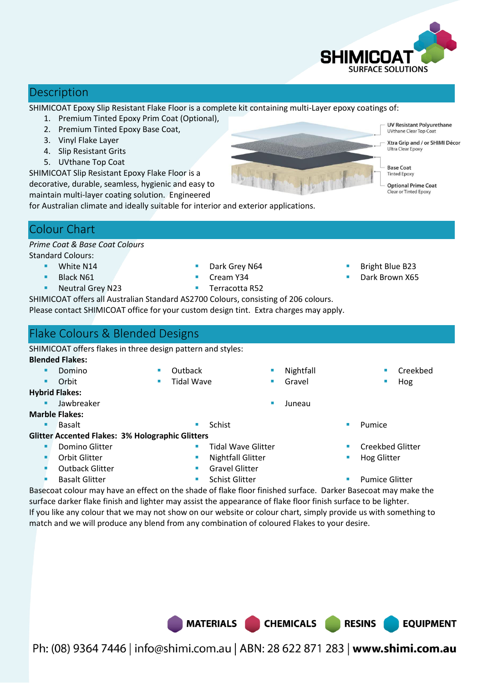

# **Description**

SHIMICOAT Epoxy Slip Resistant Flake Floor is a complete kit containing multi-Layer epoxy coatings of:

- 1. Premium Tinted Epoxy Prim Coat (Optional),
- 2. Premium Tinted Epoxy Base Coat,
- 3. Vinyl Flake Layer
- 4. Slip Resistant Grits
- 5. UVthane Top Coat

SHIMICOAT Slip Resistant Epoxy Flake Floor is a decorative, durable, seamless, hygienic and easy to maintain multi-layer coating solution. Engineered

for Australian climate and ideally suitable for interior and exterior applications.

# Colour Chart

#### *Prime Coat & Base Coat Colours*  Standard Colours:

- White N14
	- Black N61
	- Neutral Grey N23
- Dark Grey N64 Cream Y34
- Terracotta R52
- Bright Blue B23
- Dark Brown X65

SHIMICOAT offers all Australian Standard AS2700 Colours, consisting of 206 colours. Please contact SHIMICOAT office for your custom design tint. Extra charges may apply.

# Flake Colours & Blended Designs

SHIMICOAT offers flakes in three design pattern and styles: **Blended Flakes: Domino Orbit Dutback** Tidal Wave

- **Hybrid Flakes:** 
	- Jawbreaker **Communist Communist Communist Communist Communist Communist Communist Communist Communist Communist Communist Communist Communist Communist Communist Communist Communist Communist Communist Communist Communist**

#### **Marble Flakes:**

#### **Glitter Accented Flakes: 3% Holographic Glitters**

- Domino Glitter
- Orbit Glitter
- Outback Glitter
- 
- Gravel Glitter
- 
- Basalt Glitter **Schist Glitter Schist Glitter Constant Clitter Pumice Glitter Pumice Glitter**

**Nightfall** Gravel

Basecoat colour may have an effect on the shade of flake floor finished surface. Darker Basecoat may make the surface darker flake finish and lighter may assist the appearance of flake floor finish surface to be lighter. If you like any colour that we may not show on our website or colour chart, simply provide us with something to match and we will produce any blend from any combination of coloured Flakes to your desire.

MATERIALS CHEMICALS

Ph: (08) 9364 7446 | info@shimi.com.au | ABN: 28 622 871 283 | www.shimi.com.au

**UV Resistant Polyurethane UVthane Clear Top Coat** Xtra Grip and / or SHIMI Décor Ultra Clear Enoxy **Base Coat Tinted Epoxy** Optional Prime Coat ear or Tinted Epoxy

- 
- 
- 
- Tidal Wave Glitter Nightfall Glitter
- - -
- 
- **Basalt Basalt Basalt Reserves Pumice Pumice Pumice Pumice**

**RESINS** 

Creekbed Glitter

 Creekbed Hog

**EQUIPMENT** 

- Hog Glitter
-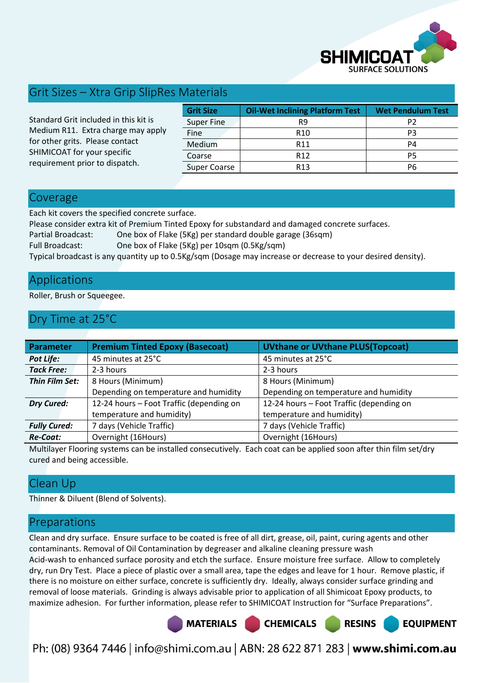

# Grit Sizes – Xtra Grip SlipRes Materials

Standard Grit included in this kit is Medium R11. Extra charge may apply for other grits. Please contact SHIMICOAT for your specific requirement prior to dispatch.

| <b>Grit Size</b><br><b>Oil-Wet Inclining Platform Test</b> |                 | <b>Wet Pendulum Test</b> |
|------------------------------------------------------------|-----------------|--------------------------|
| Super Fine                                                 | R9              | P2                       |
| Fine                                                       | R <sub>10</sub> | P3                       |
| Medium                                                     | R <sub>11</sub> | P4                       |
| Coarse                                                     | R <sub>12</sub> | P5                       |
| <b>Super Coarse</b>                                        | R <sub>13</sub> | P6                       |

### Coverage

Each kit covers the specified concrete surface.

Please consider extra kit of Premium Tinted Epoxy for substandard and damaged concrete surfaces.

Partial Broadcast: One box of Flake (5Kg) per standard double garage (36sqm)

Full Broadcast: One box of Flake (5Kg) per 10sqm (0.5Kg/sqm)

Typical broadcast is any quantity up to 0.5Kg/sqm (Dosage may increase or decrease to your desired density).

# Applications

Roller, Brush or Squeegee.

# Dry Time at 25°C

| <b>Parameter</b>    | <b>Premium Tinted Epoxy (Basecoat)</b>   | <b>UVthane or UVthane PLUS(Topcoat)</b>  |
|---------------------|------------------------------------------|------------------------------------------|
| <b>Pot Life:</b>    | 45 minutes at 25°C                       | 45 minutes at 25°C                       |
| <b>Tack Free:</b>   | 2-3 hours                                | 2-3 hours                                |
| Thin Film Set:      | 8 Hours (Minimum)                        | 8 Hours (Minimum)                        |
|                     | Depending on temperature and humidity    | Depending on temperature and humidity    |
| <b>Dry Cured:</b>   | 12-24 hours - Foot Traffic (depending on | 12-24 hours - Foot Traffic (depending on |
|                     | temperature and humidity)                | temperature and humidity)                |
| <b>Fully Cured:</b> | 7 days (Vehicle Traffic)                 | 7 days (Vehicle Traffic)                 |
| <b>Re-Coat:</b>     | Overnight (16Hours)                      | Overnight (16Hours)                      |

Multilayer Flooring systems can be installed consecutively. Each coat can be applied soon after thin film set/dry cured and being accessible.

# Clean Up

Thinner & Diluent (Blend of Solvents).

# Preparations

Clean and dry surface. Ensure surface to be coated is free of all dirt, grease, oil, paint, curing agents and other contaminants. Removal of Oil Contamination by degreaser and alkaline cleaning pressure wash Acid-wash to enhanced surface porosity and etch the surface. Ensure moisture free surface. Allow to completely dry, run Dry Test. Place a piece of plastic over a small area, tape the edges and leave for 1 hour. Remove plastic, if there is no moisture on either surface, concrete is sufficiently dry. Ideally, always consider surface grinding and removal of loose materials. Grinding is always advisable prior to application of all Shimicoat Epoxy products, to maximize adhesion. For further information, please refer to SHIMICOAT Instruction for "Surface Preparations".

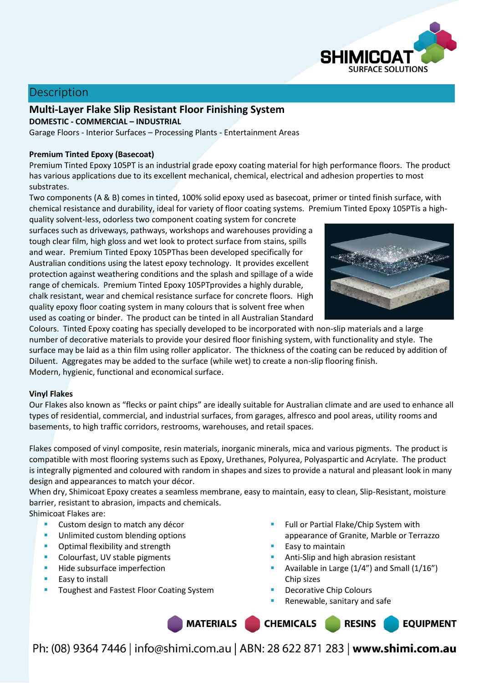

# **Description**

**Multi-Layer Flake Slip Resistant Floor Finishing System DOMESTIC - COMMERCIAL – INDUSTRIAL** 

Garage Floors - Interior Surfaces – Processing Plants - Entertainment Areas

#### **Premium Tinted Epoxy (Basecoat)**

Premium Tinted Epoxy 105PT is an industrial grade epoxy coating material for high performance floors. The product has various applications due to its excellent mechanical, chemical, electrical and adhesion properties to most substrates.

Two components (A & B) comes in tinted, 100% solid epoxy used as basecoat, primer or tinted finish surface, with chemical resistance and durability, ideal for variety of floor coating systems. Premium Tinted Epoxy 105PTis a high-

quality solvent-less, odorless two component coating system for concrete surfaces such as driveways, pathways, workshops and warehouses providing a tough clear film, high gloss and wet look to protect surface from stains, spills and wear. Premium Tinted Epoxy 105PThas been developed specifically for Australian conditions using the latest epoxy technology. It provides excellent protection against weathering conditions and the splash and spillage of a wide range of chemicals. Premium Tinted Epoxy 105PTprovides a highly durable, chalk resistant, wear and chemical resistance surface for concrete floors. High quality epoxy floor coating system in many colours that is solvent free when used as coating or binder. The product can be tinted in all Australian Standard



Colours. Tinted Epoxy coating has specially developed to be incorporated with non-slip materials and a large number of decorative materials to provide your desired floor finishing system, with functionality and style. The surface may be laid as a thin film using roller applicator. The thickness of the coating can be reduced by addition of Diluent. Aggregates may be added to the surface (while wet) to create a non-slip flooring finish. Modern, hygienic, functional and economical surface.

#### **Vinyl Flakes**

Our Flakes also known as "flecks or paint chips" are ideally suitable for Australian climate and are used to enhance all types of residential, commercial, and industrial surfaces, from garages, alfresco and pool areas, utility rooms and basements, to high traffic corridors, restrooms, warehouses, and retail spaces.

Flakes composed of vinyl composite, resin materials, inorganic minerals, mica and various pigments. The product is compatible with most flooring systems such as Epoxy, Urethanes, Polyurea, Polyaspartic and Acrylate. The product is integrally pigmented and coloured with random in shapes and sizes to provide a natural and pleasant look in many design and appearances to match your décor.

When dry, Shimicoat Epoxy creates a seamless membrane, easy to maintain, easy to clean, Slip-Resistant, moisture barrier, resistant to abrasion, impacts and chemicals.

Shimicoat Flakes are:

- **Custom design to match any décor**
- Unlimited custom blending options
- **•** Optimal flexibility and strength
- Colourfast, UV stable pigments
- **Hide subsurface imperfection**
- $E$  Easy to install
- Toughest and Fastest Floor Coating System
- Full or Partial Flake/Chip System with appearance of Granite, Marble or Terrazzo
- Easy to maintain
- Anti-Slip and high abrasion resistant
- Available in Large (1/4") and Small (1/16") Chip sizes

**RESINS** 

**EQUIPMENT** 

- Decorative Chip Colours
- Renewable, sanitary and safe

MATERIALS CHEMICALS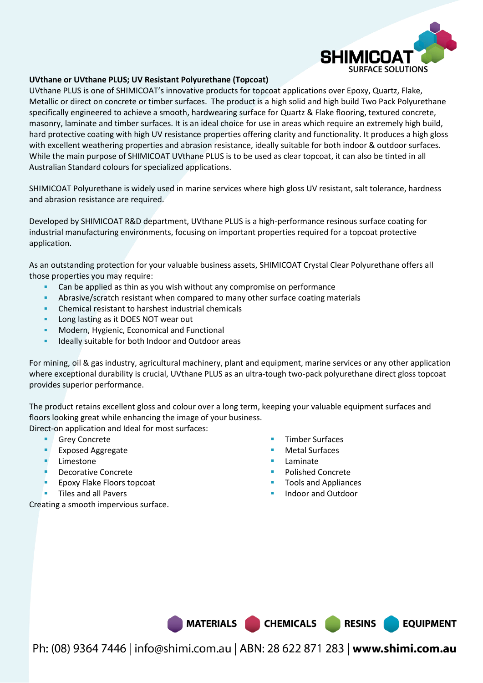

#### **UVthane or UVthane PLUS; UV Resistant Polyurethane (Topcoat)**

UVthane PLUS is one of SHIMICOAT's innovative products for topcoat applications over Epoxy, Quartz, Flake, Metallic or direct on concrete or timber surfaces. The product is a high solid and high build Two Pack Polyurethane specifically engineered to achieve a smooth, hardwearing surface for Quartz & Flake flooring, textured concrete, masonry, laminate and timber surfaces. It is an ideal choice for use in areas which require an extremely high build, hard protective coating with high UV resistance properties offering clarity and functionality. It produces a high gloss with excellent weathering properties and abrasion resistance, ideally suitable for both indoor & outdoor surfaces. While the main purpose of SHIMICOAT UVthane PLUS is to be used as clear topcoat, it can also be tinted in all Australian Standard colours for specialized applications.

SHIMICOAT Polyurethane is widely used in marine services where high gloss UV resistant, salt tolerance, hardness and abrasion resistance are required.

Developed by SHIMICOAT R&D department, UVthane PLUS is a high-performance resinous surface coating for industrial manufacturing environments, focusing on important properties required for a topcoat protective application.

As an outstanding protection for your valuable business assets, SHIMICOAT Crystal Clear Polyurethane offers all those properties you may require:

- Can be applied as thin as you wish without any compromise on performance
- Abrasive/scratch resistant when compared to many other surface coating materials
- Chemical resistant to harshest industrial chemicals
- Long lasting as it DOES NOT wear out
- Modern, Hygienic, Economical and Functional
- Ideally suitable for both Indoor and Outdoor areas

For mining, oil & gas industry, agricultural machinery, plant and equipment, marine services or any other application where exceptional durability is crucial, UVthane PLUS as an ultra-tough two-pack polyurethane direct gloss topcoat provides superior performance.

The product retains excellent gloss and colour over a long term, keeping your valuable equipment surfaces and floors looking great while enhancing the image of your business.

Direct-on application and Ideal for most surfaces:

- Grey Concrete
- **Exposed Aggregate**
- Limestone
- Decorative Concrete
- Epoxy Flake Floors topcoat
- Tiles and all Pavers

Creating a smooth impervious surface.

- Timber Surfaces
- Metal Surfaces
- Laminate

MATERIALS CHEMICALS RESINS

- Polished Concrete
- Tools and Appliances
- Indoor and Outdoor

**EQUIPMENT**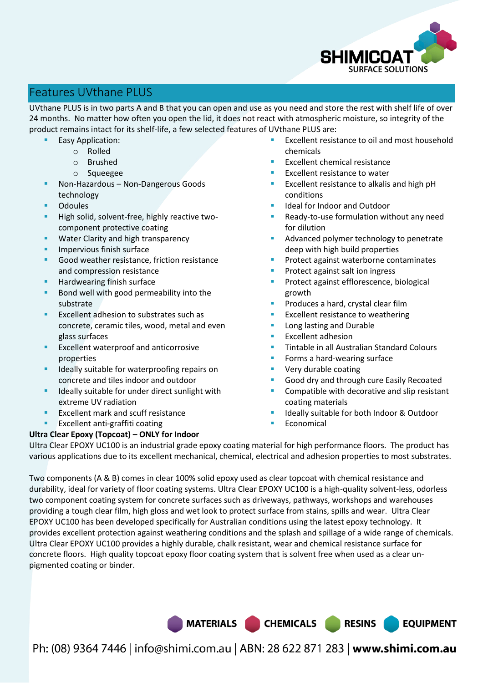

# Features UVthane PLUS

UVthane PLUS is in two parts A and B that you can open and use as you need and store the rest with shelf life of over 24 months. No matter how often you open the lid, it does not react with atmospheric moisture, so integrity of the product remains intact for its shelf-life, a few selected features of UVthane PLUS are:

- Easy Application:
	- o Rolled
		- o Brushed
		- o Squeegee
- Non-Hazardous Non-Dangerous Goods technology
- **Odoules**
- High solid, solvent-free, highly reactive twocomponent protective coating
- **Water Clarity and high transparency**
- Impervious finish surface
- Good weather resistance, friction resistance and compression resistance
- Hardwearing finish surface
- Bond well with good permeability into the substrate
- Excellent adhesion to substrates such as concrete, ceramic tiles, wood, metal and even glass surfaces
- Excellent waterproof and anticorrosive properties
- **IDEALLY** suitable for waterproofing repairs on concrete and tiles indoor and outdoor
- Ideally suitable for under direct sunlight with extreme UV radiation
- Excellent mark and scuff resistance
- Excellent anti-graffiti coating

#### **Ultra Clear Epoxy (Topcoat) – ONLY for Indoor**

- Excellent resistance to oil and most household chemicals
- Excellent chemical resistance
- Excellent resistance to water
- Excellent resistance to alkalis and high pH conditions
- Ideal for Indoor and Outdoor
- Ready-to-use formulation without any need for dilution
- Advanced polymer technology to penetrate deep with high build properties
- Protect against waterborne contaminates
- Protect against salt ion ingress
- Protect against efflorescence, biological growth
- Produces a hard, crystal clear film
- Excellent resistance to weathering
- Long lasting and Durable
- Excellent adhesion
- Tintable in all Australian Standard Colours
- Forms a hard-wearing surface
- Very durable coating
- Good dry and through cure Easily Recoated
- Compatible with decorative and slip resistant coating materials
- Ideally suitable for both Indoor & Outdoor
- Economical

Ultra Clear EPOXY UC100 is an industrial grade epoxy coating material for high performance floors. The product has various applications due to its excellent mechanical, chemical, electrical and adhesion properties to most substrates.

Two components (A & B) comes in clear 100% solid epoxy used as clear topcoat with chemical resistance and durability, ideal for variety of floor coating systems. Ultra Clear EPOXY UC100 is a high-quality solvent-less, odorless two component coating system for concrete surfaces such as driveways, pathways, workshops and warehouses providing a tough clear film, high gloss and wet look to protect surface from stains, spills and wear. Ultra Clear EPOXY UC100 has been developed specifically for Australian conditions using the latest epoxy technology. It provides excellent protection against weathering conditions and the splash and spillage of a wide range of chemicals. Ultra Clear EPOXY UC100 provides a highly durable, chalk resistant, wear and chemical resistance surface for concrete floors. High quality topcoat epoxy floor coating system that is solvent free when used as a clear unpigmented coating or binder.

MATERIALS CHEMICALS RESINS

**EQUIPMENT**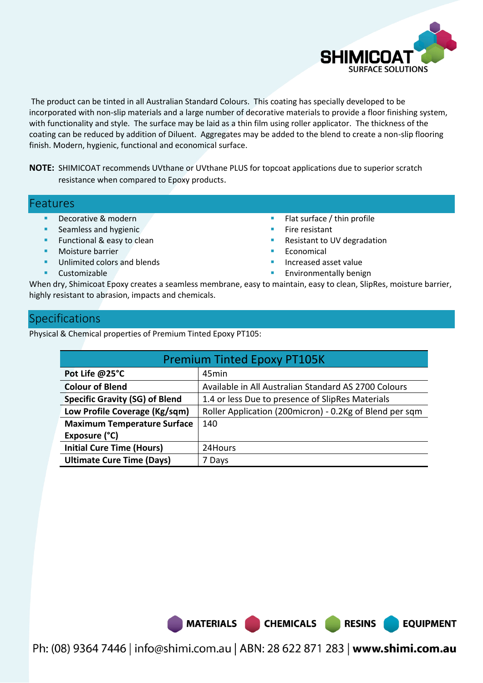

**EQUIPMENT** 

 The product can be tinted in all Australian Standard Colours. This coating has specially developed to be incorporated with non-slip materials and a large number of decorative materials to provide a floor finishing system, with functionality and style. The surface may be laid as a thin film using roller applicator. The thickness of the coating can be reduced by addition of Diluent. Aggregates may be added to the blend to create a non-slip flooring finish. Modern, hygienic, functional and economical surface.

**NOTE:** SHIMICOAT recommends UVthane or UVthane PLUS for topcoat applications due to superior scratch resistance when compared to Epoxy products.

#### Features

- Decorative & modern
- Seamless and hygienic
- Functional & easy to clean
- Moisture barrier
- Unlimited colors and blends
- Customizable
- Flat surface / thin profile
- Fire resistant
- Resistant to UV degradation
- Economical
- Increased asset value
- Environmentally benign

When dry, Shimicoat Epoxy creates a seamless membrane, easy to maintain, easy to clean, SlipRes, moisture barrier, highly resistant to abrasion, impacts and chemicals.

# **Specifications**

Physical & Chemical properties of Premium Tinted Epoxy PT105:

| <b>Premium Tinted Epoxy PT105K</b>    |                                                         |  |  |
|---------------------------------------|---------------------------------------------------------|--|--|
| Pot Life @25°C                        | 45min                                                   |  |  |
| <b>Colour of Blend</b>                | Available in All Australian Standard AS 2700 Colours    |  |  |
| <b>Specific Gravity (SG) of Blend</b> | 1.4 or less Due to presence of SlipRes Materials        |  |  |
| Low Profile Coverage (Kg/sqm)         | Roller Application (200micron) - 0.2Kg of Blend per sqm |  |  |
| <b>Maximum Temperature Surface</b>    | 140                                                     |  |  |
| Exposure (°C)                         |                                                         |  |  |
| <b>Initial Cure Time (Hours)</b>      | 24Hours                                                 |  |  |
| <b>Ultimate Cure Time (Days)</b>      | 7 Days                                                  |  |  |

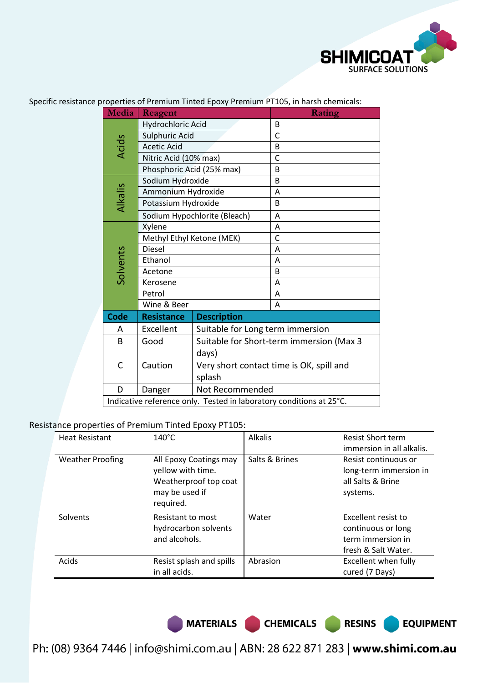

| Media                                                               | Reagent                   |                                          | Rating                                   |  |
|---------------------------------------------------------------------|---------------------------|------------------------------------------|------------------------------------------|--|
|                                                                     | Hydrochloric Acid         |                                          | B                                        |  |
|                                                                     | Sulphuric Acid            |                                          | $\mathsf{C}$                             |  |
| <b>Acids</b>                                                        | <b>Acetic Acid</b>        |                                          | B                                        |  |
|                                                                     | Nitric Acid (10% max)     |                                          | $\mathsf{C}$                             |  |
|                                                                     | Phosphoric Acid (25% max) |                                          | B                                        |  |
|                                                                     | Sodium Hydroxide          |                                          | B                                        |  |
|                                                                     | Ammonium Hydroxide        |                                          | Α                                        |  |
| Alkalis                                                             | Potassium Hydroxide       |                                          | B                                        |  |
|                                                                     |                           | Sodium Hypochlorite (Bleach)             | A                                        |  |
|                                                                     | Xylene                    |                                          | Α                                        |  |
|                                                                     | Methyl Ethyl Ketone (MEK) |                                          | $\mathsf{C}$                             |  |
|                                                                     | <b>Diesel</b>             |                                          | A                                        |  |
| Solvents                                                            | Ethanol                   |                                          | A                                        |  |
|                                                                     | Acetone                   |                                          | B                                        |  |
|                                                                     | Kerosene                  |                                          | A                                        |  |
|                                                                     | Petrol                    |                                          | A                                        |  |
|                                                                     | Wine & Beer               |                                          | A                                        |  |
| <b>Code</b>                                                         | <b>Resistance</b>         | <b>Description</b>                       |                                          |  |
| A                                                                   | Excellent                 | Suitable for Long term immersion         |                                          |  |
| B                                                                   | Good                      |                                          | Suitable for Short-term immersion (Max 3 |  |
|                                                                     |                           | days)                                    |                                          |  |
| C                                                                   | Caution                   | Very short contact time is OK, spill and |                                          |  |
|                                                                     |                           | splash                                   |                                          |  |
| D                                                                   | Danger                    | Not Recommended                          |                                          |  |
| Indicative reference only. Tested in laboratory conditions at 25°C. |                           |                                          |                                          |  |

Specific resistance properties of Premium Tinted Epoxy Premium PT105, in harsh chemicals:

### Resistance properties of Premium Tinted Epoxy PT105:

| <b>Heat Resistant</b>   | $140^{\circ}$ C                                                                                     | <b>Alkalis</b> | <b>Resist Short term</b><br>immersion in all alkalis.                                 |
|-------------------------|-----------------------------------------------------------------------------------------------------|----------------|---------------------------------------------------------------------------------------|
| <b>Weather Proofing</b> | All Epoxy Coatings may<br>yellow with time.<br>Weatherproof top coat<br>may be used if<br>required. | Salts & Brines | Resist continuous or<br>long-term immersion in<br>all Salts & Brine<br>systems.       |
| Solvents                | Resistant to most<br>hydrocarbon solvents<br>and alcohols.                                          | Water          | Excellent resist to<br>continuous or long<br>term immersion in<br>fresh & Salt Water. |
| Acids                   | Resist splash and spills<br>in all acids.                                                           | Abrasion       | Excellent when fully<br>cured (7 Days)                                                |

MATERIALS CHEMICALS RESINS

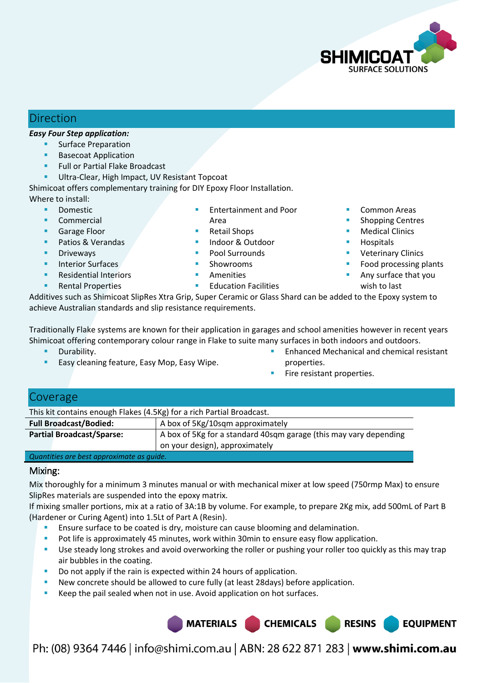

# Direction

#### *Easy Four Step application:*

- Surface Preparation
- Basecoat Application
- Full or Partial Flake Broadcast
- Ultra-Clear, High Impact, UV Resistant Topcoat

Shimicoat offers complementary training for DIY Epoxy Floor Installation. Where to install:

- Domestic
- Commercial
- Garage Floor
- Patios & Verandas
- Driveways
- Interior Surfaces
- Residential Interiors
- Rental Properties
- Entertainment and Poor Area
- Retail Shops
- 
- Pool Surrounds
- 
- Amenities
- Common Areas
- Shopping Centres
- Medical Clinics
- **Hospitals**
- Veterinary Clinics
- Food processing plants
- Any surface that you wish to last

Additives such as Shimicoat SlipRes Xtra Grip, Super Ceramic or Glass Shard can be added to the Epoxy system to achieve Australian standards and slip resistance requirements.

Traditionally Flake systems are known for their application in garages and school amenities however in recent years Shimicoat offering contemporary colour range in Flake to suite many surfaces in both indoors and outdoors.

- **Durability.**
- Easy cleaning feature, Easy Mop, Easy Wipe.
- Enhanced Mechanical and chemical resistant properties.
- Fire resistant properties.

### Coverage

| This kit contains enough Flakes (4.5Kg) for a rich Partial Broadcast.                                 |  |  |  |
|-------------------------------------------------------------------------------------------------------|--|--|--|
| A box of 5Kg/10sqm approximately<br><b>Full Broadcast/Bodied:</b>                                     |  |  |  |
| <b>Partial Broadcast/Sparse:</b><br>A box of 5Kg for a standard 40sqm garage (this may vary depending |  |  |  |
| on your design), approximately                                                                        |  |  |  |
| Accountable come to eat more members who we consider                                                  |  |  |  |

#### *Quantities are best approximate as guide.*

#### Mixing:

Mix thoroughly for a minimum 3 minutes manual or with mechanical mixer at low speed (750rmp Max) to ensure SlipRes materials are suspended into the epoxy matrix.

If mixing smaller portions, mix at a ratio of 3A:1B by volume. For example, to prepare 2Kg mix, add 500mL of Part B (Hardener or Curing Agent) into 1.5Lt of Part A (Resin).

- Ensure surface to be coated is dry, moisture can cause blooming and delamination.
- **Pot life is approximately 45 minutes, work within 30min to ensure easy flow application.**
- Use steady long strokes and avoid overworking the roller or pushing your roller too quickly as this may trap air bubbles in the coating.
- Do not apply if the rain is expected within 24 hours of application.
- New concrete should be allowed to cure fully (at least 28days) before application.
- Keep the pail sealed when not in use. Avoid application on hot surfaces.

MATERIALS CHEMICALS **RESINS EQUIPMENT** 

Ph: (08) 9364 7446 | info@shimi.com.au | ABN: 28 622 871 283 | www.shimi.com.au

 Indoor & Outdoor Showrooms

Education Facilities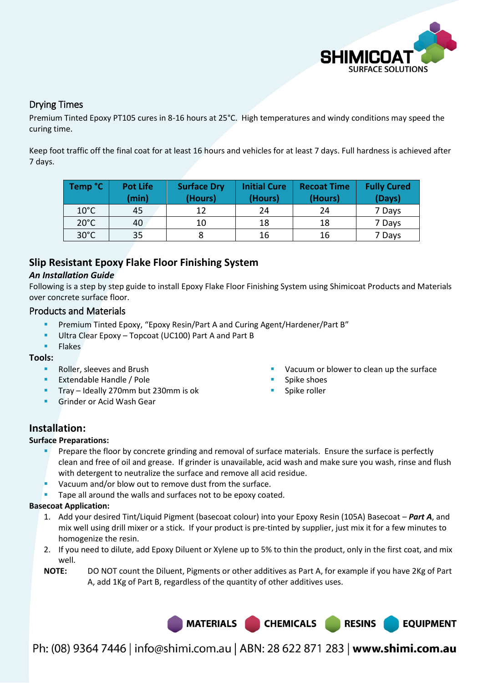

### Drying Times

Premium Tinted Epoxy PT105 cures in 8-16 hours at 25°C. High temperatures and windy conditions may speed the curing time.

Keep foot traffic off the final coat for at least 16 hours and vehicles for at least 7 days. Full hardness is achieved after 7 days.

| Temp °C        | <b>Pot Life</b><br>(min) | <b>Surface Dry</b><br>(Hours) | <b>Initial Cure</b><br>(Hours) | <b>Recoat Time</b><br>(Hours) | <b>Fully Cured</b><br>(Days) |
|----------------|--------------------------|-------------------------------|--------------------------------|-------------------------------|------------------------------|
| $10^{\circ}$ C | 45                       | 12                            | 24                             | 24                            | 7 Days                       |
| $20^{\circ}$ C | 40                       | 10                            | 18                             | 18                            | 7 Days                       |
| $30^{\circ}$ C | 35                       |                               | 16                             | 16                            | 7 Days                       |

# **Slip Resistant Epoxy Flake Floor Finishing System**

#### *An Installation Guide*

Following is a step by step guide to install Epoxy Flake Floor Finishing System using Shimicoat Products and Materials over concrete surface floor.

#### Products and Materials

- Premium Tinted Epoxy, "Epoxy Resin/Part A and Curing Agent/Hardener/Part B"
- Ultra Clear Epoxy Topcoat (UC100) Part A and Part B
- Flakes

#### **Tools:**

- Roller, sleeves and Brush
- Extendable Handle / Pole
- Tray Ideally 270mm but 230mm is ok
- Grinder or Acid Wash Gear

Vacuum or blower to clean up the surface

**EQUIPMENT** 

- Spike shoes
- Spike roller

# **Installation:**

#### **Surface Preparations:**

- Prepare the floor by concrete grinding and removal of surface materials. Ensure the surface is perfectly clean and free of oil and grease. If grinder is unavailable, acid wash and make sure you wash, rinse and flush with detergent to neutralize the surface and remove all acid residue.
- Vacuum and/or blow out to remove dust from the surface.
- Tape all around the walls and surfaces not to be epoxy coated.

#### **Basecoat Application:**

- 1. Add your desired Tint/Liquid Pigment (basecoat colour) into your Epoxy Resin (105A) Basecoat *Part A*, and mix well using drill mixer or a stick. If your product is pre-tinted by supplier, just mix it for a few minutes to homogenize the resin.
- 2. If you need to dilute, add Epoxy Diluent or Xylene up to 5% to thin the product, only in the first coat, and mix well.
- **NOTE:** DO NOT count the Diluent, Pigments or other additives as Part A, for example if you have 2Kg of Part A, add 1Kg of Part B, regardless of the quantity of other additives uses.

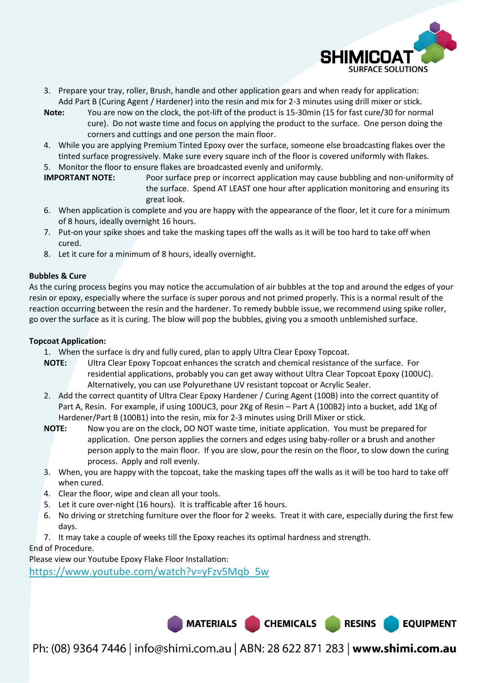

**EQUIPMENT** 

- 3. Prepare your tray, roller, Brush, handle and other application gears and when ready for application: Add Part B (Curing Agent / Hardener) into the resin and mix for 2-3 minutes using drill mixer or stick.
- **Note:** You are now on the clock, the pot-lift of the product is 15-30min (15 for fast cure/30 for normal cure). Do not waste time and focus on applying the product to the surface. One person doing the corners and cuttings and one person the main floor.
- 4. While you are applying Premium Tinted Epoxy over the surface, someone else broadcasting flakes over the tinted surface progressively. Make sure every square inch of the floor is covered uniformly with flakes.
- 5. Monitor the floor to ensure flakes are broadcasted evenly and uniformly.
- **IMPORTANT NOTE:** Poor surface prep or incorrect application may cause bubbling and non-uniformity of the surface. Spend AT LEAST one hour after application monitoring and ensuring its great look.
- 6. When application is complete and you are happy with the appearance of the floor, let it cure for a minimum of 8 hours, ideally overnight 16 hours.
- 7. Put-on your spike shoes and take the masking tapes off the walls as it will be too hard to take off when cured.
- 8. Let it cure for a minimum of 8 hours, ideally overnight.

#### **Bubbles & Cure**

As the curing process begins you may notice the accumulation of air bubbles at the top and around the edges of your resin or epoxy, especially where the surface is super porous and not primed properly. This is a normal result of the reaction occurring between the resin and the hardener. To remedy bubble issue, we recommend using spike roller, go over the surface as it is curing. The blow will pop the bubbles, giving you a smooth unblemished surface.

#### **Topcoat Application:**

1. When the surface is dry and fully cured, plan to apply Ultra Clear Epoxy Topcoat.

- **NOTE:** Ultra Clear Epoxy Topcoat enhances the scratch and chemical resistance of the surface. For residential applications, probably you can get away without Ultra Clear Topcoat Epoxy (100UC). Alternatively, you can use Polyurethane UV resistant topcoat or Acrylic Sealer.
- 2. Add the correct quantity of Ultra Clear Epoxy Hardener / Curing Agent (100B) into the correct quantity of Part A, Resin. For example, if using 100UC3, pour 2Kg of Resin – Part A (100B2) into a bucket, add 1Kg of Hardener/Part B (100B1) into the resin, mix for 2-3 minutes using Drill Mixer or stick.
- **NOTE:** Now you are on the clock, DO NOT waste time, initiate application. You must be prepared for application. One person applies the corners and edges using baby-roller or a brush and another person apply to the main floor. If you are slow, pour the resin on the floor, to slow down the curing process. Apply and roll evenly.
- 3. When, you are happy with the topcoat, take the masking tapes off the walls as it will be too hard to take off when cured.
- 4. Clear the floor, wipe and clean all your tools.
- 5. Let it cure over-night (16 hours). It is trafficable after 16 hours.
- 6. No driving or stretching furniture over the floor for 2 weeks. Treat it with care, especially during the first few days.
- 7. It may take a couple of weeks till the Epoxy reaches its optimal hardness and strength.

End of Procedure.

Please view our Youtube Epoxy Flake Floor Installation:

[https://www.youtube.com/watch?v=yFzv5Mqb\\_5w](https://www.youtube.com/watch?v=yFzv5Mqb_5w)